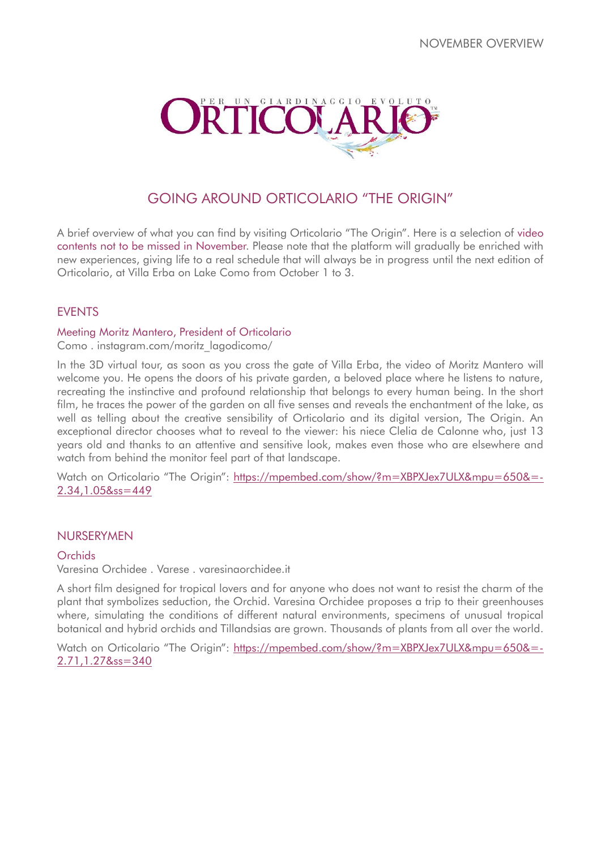

# GOING AROUND ORTICOLARIO "THE ORIGIN"

A brief overview of what you can find by visiting Orticolario "The Origin". Here is a selection of video contents not to be missed in November. Please note that the platform will gradually be enriched with new experiences, giving life to a real schedule that will always be in progress until the next edition of Orticolario, at Villa Erba on Lake Como from October 1 to 3.

# **FVFNTS**

### Meeting Moritz Mantero, President of Orticolario

Como . instagram.com/moritz\_lagodicomo/

In the 3D virtual tour, as soon as you cross the gate of Villa Erba, the video of Moritz Mantero will welcome you. He opens the doors of his private garden, a beloved place where he listens to nature, recreating the instinctive and profound relationship that belongs to every human being. In the short film, he traces the power of the garden on all five senses and reveals the enchantment of the lake, as well as telling about the creative sensibility of Orticolario and its digital version, The Origin. An exceptional director chooses what to reveal to the viewer: his niece Clelia de Calonne who, just 13 years old and thanks to an attentive and sensitive look, makes even those who are elsewhere and watch from behind the monitor feel part of that landscape.

Watch on Orticolario "The Origin": [https://mpembed.com/show/?m=XBPXJex7ULX&mpu=650&=-](https://mpembed.com/show/?m=XBPXJex7ULX&mpu=650&=-2.34,1.05&ss=449) [2.34,1.05&ss=449](https://mpembed.com/show/?m=XBPXJex7ULX&mpu=650&=-2.34,1.05&ss=449)

### NURSERYMEN

#### Orchids

Varesina Orchidee . Varese . varesinaorchidee.it

A short film designed for tropical lovers and for anyone who does not want to resist the charm of the plant that symbolizes seduction, the Orchid. Varesina Orchidee proposes a trip to their greenhouses where, simulating the conditions of different natural environments, specimens of unusual tropical botanical and hybrid orchids and Tillandsias are grown. Thousands of plants from all over the world.

Watch on Orticolario "The Origin": [https://mpembed.com/show/?m=XBPXJex7ULX&mpu=650&=-](https://mpembed.com/show/?m=XBPXJex7ULX&mpu=650&=-2.71,1.27&ss=340) [2.71,1.27&ss=340](https://mpembed.com/show/?m=XBPXJex7ULX&mpu=650&=-2.71,1.27&ss=340)